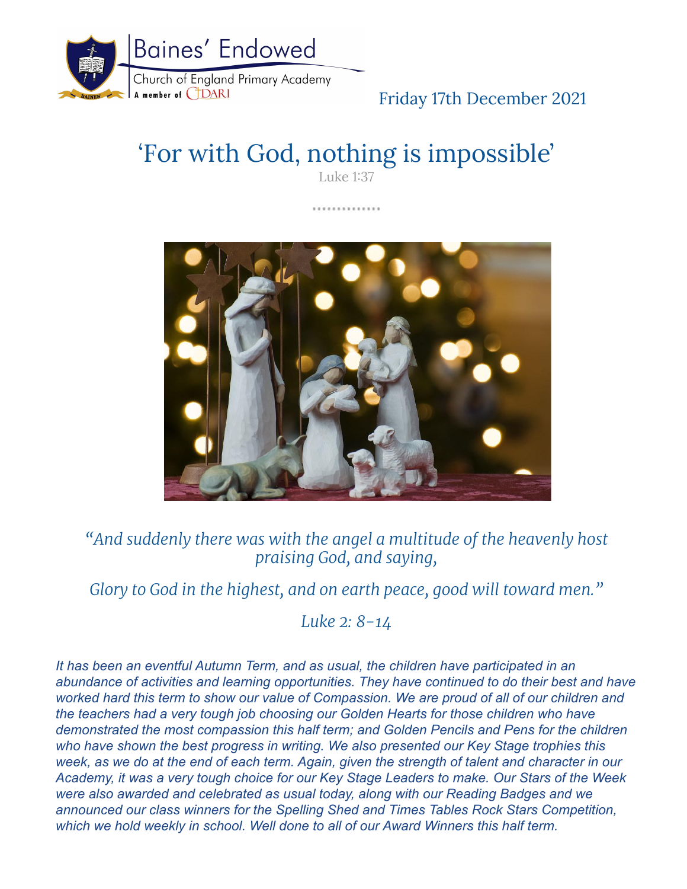

## Friday 17th December 2021

# 'For with God, nothing is impossible'

Luke 1:37

.............



*"And suddenly there was with the angel a multitude of the heavenly host praising God, and saying,*

*Glory to God in the highest, and on earth peace, good will toward men."*

*Luke 2: 8-14*

*It has been an eventful Autumn Term, and as usual, the children have participated in an abundance of activities and learning opportunities. They have continued to do their best and have worked hard this term to show our value of Compassion. We are proud of all of our children and the teachers had a very tough job choosing our Golden Hearts for those children who have demonstrated the most compassion this half term; and Golden Pencils and Pens for the children who have shown the best progress in writing. We also presented our Key Stage trophies this week, as we do at the end of each term. Again, given the strength of talent and character in our Academy, it was a very tough choice for our Key Stage Leaders to make. Our Stars of the Week were also awarded and celebrated as usual today, along with our Reading Badges and we announced our class winners for the Spelling Shed and Times Tables Rock Stars Competition, which we hold weekly in school. Well done to all of our Award Winners this half term.*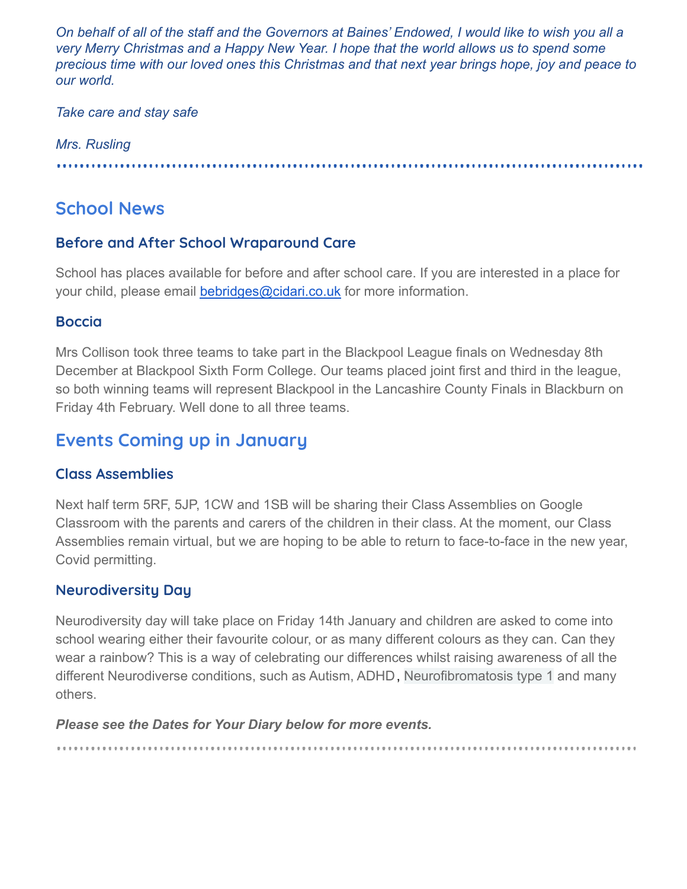*On behalf of all of the staff and the Governors at Baines' Endowed, I would like to wish you all a very Merry Christmas and a Happy New Year. I hope that the world allows us to spend some precious time with our loved ones this Christmas and that next year brings hope, joy and peace to our world.*

#### *Take care and stay safe*

#### *Mrs. Rusling*

## **School News**

#### **Before and After School Wraparound Care**

School has places available for before and after school care. If you are interested in a place for your child, please email [bebridges@cidari.co.uk](mailto:bebridges@cidari.co.uk) for more information.

#### **Boccia**

Mrs Collison took three teams to take part in the Blackpool League finals on Wednesday 8th December at Blackpool Sixth Form College. Our teams placed joint first and third in the league, so both winning teams will represent Blackpool in the Lancashire County Finals in Blackburn on Friday 4th February. Well done to all three teams.

## **Events Coming up in January**

#### **Class Assemblies**

Next half term 5RF, 5JP, 1CW and 1SB will be sharing their Class Assemblies on Google Classroom with the parents and carers of the children in their class. At the moment, our Class Assemblies remain virtual, but we are hoping to be able to return to face-to-face in the new year, Covid permitting.

#### **Neurodiversity Day**

Neurodiversity day will take place on Friday 14th January and children are asked to come into school wearing either their favourite colour, or as many different colours as they can. Can they wear a rainbow? This is a way of celebrating our differences whilst raising awareness of all the different Neurodiverse conditions, such as Autism, ADHD, Neurofibromatosis type 1 and many others.

*Please see the Dates for Your Diary below for more events.*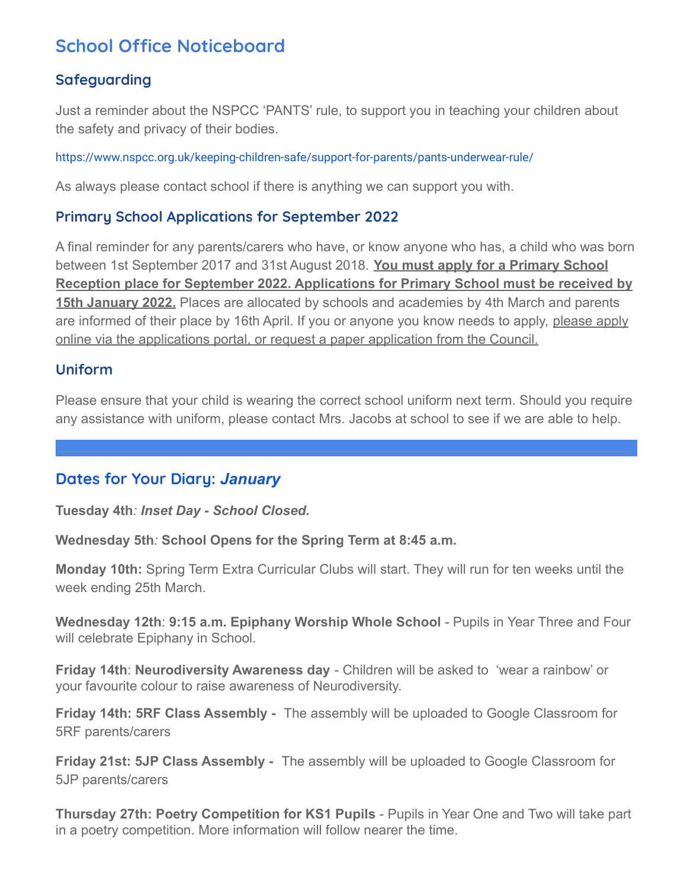## **School Office Noticeboard**

#### **Safeguarding**

Just a reminder about the NSPCC 'PANTS' rule, to support you in teaching your children about the safety and privacy of their bodies.

<https://www.nspcc.org.uk/keeping-children-safe/support-for-parents/pants-underwear-rule/>

As always please contact school if there is anything we can support you with.

#### **Primary School Applications for September 2022**

A final reminder for any parents/carers who have, or know anyone who has, a child who was born between 1st September 2017 and 31st August 2018. **You must apply for a Primary School Reception place for September 2022. Applications for Primary School must be received by 15th January 2022.** Places are allocated by schools and academies by 4th March and parents are informed of their place by 16th April. If you or anyone you know needs to apply, please apply online via the applications portal, or request a paper application from the Council.

#### **Uniform**

Please ensure that your child is wearing the correct school uniform next term. Should you require any assistance with uniform, please contact Mrs. Jacobs at school to see if we are able to help.

#### **Dates for Your Diary:** *January*

**Tuesday 4th***: Inset Day - School Closed.*

**Wednesday 5th***:* **School Opens for the Spring Term at 8:45 a.m.**

**Monday 10th:** Spring Term Extra Curricular Clubs will start. They will run for ten weeks until the week ending 25th March.

**Wednesday 12th**: **9:15 a.m. Epiphany Worship Whole School** - Pupils in Year Three and Four will celebrate Epiphany in School.

**Friday 14th**: **Neurodiversity Awareness day** - Children will be asked to 'wear a rainbow' or your favourite colour to raise awareness of Neurodiversity.

**Friday 14th: 5RF Class Assembly -** The assembly will be uploaded to Google Classroom for 5RF parents/carers

**Friday 21st: 5JP Class Assembly -** The assembly will be uploaded to Google Classroom for 5JP parents/carers

**Thursday 27th: Poetry Competition for KS1 Pupils** - Pupils in Year One and Two will take part in a poetry competition. More information will follow nearer the time.